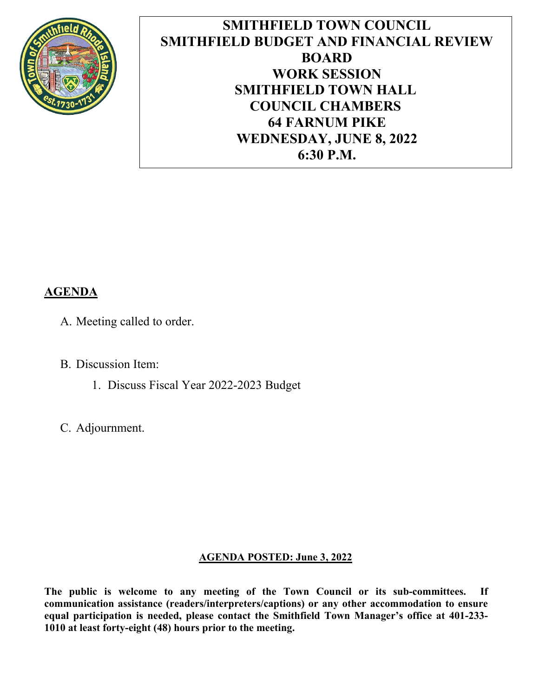

**SMITHFIELD TOWN COUNCIL SMITHFIELD BUDGET AND FINANCIAL REVIEW BOARD WORK SESSION SMITHFIELD TOWN HALL COUNCIL CHAMBERS 64 FARNUM PIKE WEDNESDAY, JUNE 8, 2022 6:30 P.M.**

### **AGENDA**

- A. Meeting called to order.
- B. Discussion Item:
	- 1. Discuss Fiscal Year 2022-2023 Budget
- C. Adjournment.

#### **AGENDA POSTED: June 3, 2022**

**The public is welcome to any meeting of the Town Council or its sub-committees. If communication assistance (readers/interpreters/captions) or any other accommodation to ensure equal participation is needed, please contact the Smithfield Town Manager's office at 401-233- 1010 at least forty-eight (48) hours prior to the meeting.**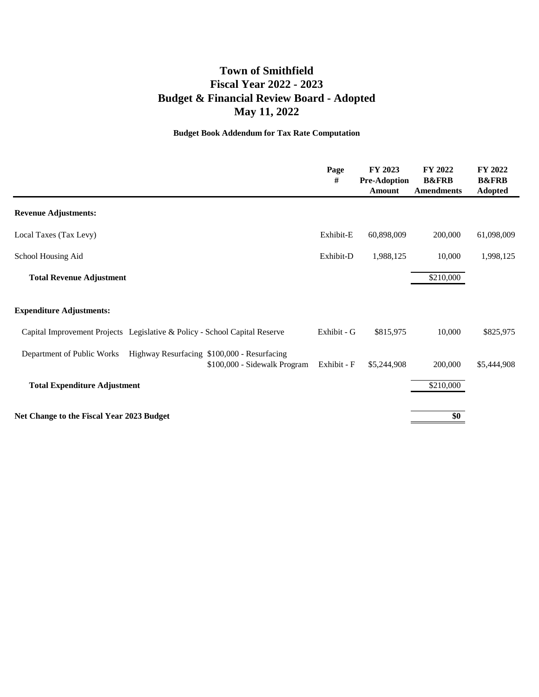### **Town of Smithfield Budget & Financial Review Board - Adopted May 11, 2022 Fiscal Year 2022 - 2023**

#### **Budget Book Addendum for Tax Rate Computation**

|                                                                                                           | Page<br>#   | FY 2023<br><b>Pre-Adoption</b><br><b>Amount</b> | FY 2022<br><b>B&amp;FRB</b><br><b>Amendments</b> | FY 2022<br><b>B&amp;FRB</b><br><b>Adopted</b> |
|-----------------------------------------------------------------------------------------------------------|-------------|-------------------------------------------------|--------------------------------------------------|-----------------------------------------------|
| <b>Revenue Adjustments:</b>                                                                               |             |                                                 |                                                  |                                               |
| Local Taxes (Tax Levy)                                                                                    | Exhibit-E   | 60,898,009                                      | 200,000                                          | 61,098,009                                    |
| School Housing Aid                                                                                        | Exhibit-D   | 1,988,125                                       | 10,000                                           | 1,998,125                                     |
| <b>Total Revenue Adjustment</b>                                                                           |             |                                                 | \$210,000                                        |                                               |
| <b>Expenditure Adjustments:</b>                                                                           |             |                                                 |                                                  |                                               |
| Capital Improvement Projects Legislative & Policy - School Capital Reserve                                | Exhibit - G | \$815,975                                       | 10,000                                           | \$825,975                                     |
| Department of Public Works<br>Highway Resurfacing \$100,000 - Resurfacing<br>\$100,000 - Sidewalk Program | Exhibit - F | \$5,244,908                                     | 200,000                                          | \$5,444,908                                   |
| <b>Total Expenditure Adjustment</b>                                                                       |             |                                                 | \$210,000                                        |                                               |
| Net Change to the Fiscal Year 2023 Budget                                                                 |             |                                                 | \$0                                              |                                               |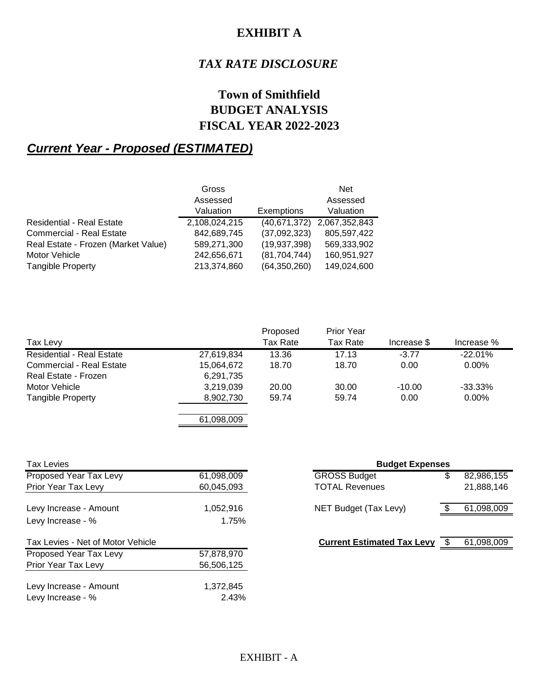### **EXHIBIT A**

### *TAX RATE DISCLOSURE*

### **Town of Smithfield BUDGET ANALYSIS FISCAL YEAR 2022-2023**

### *Current Year - Proposed (ESTIMATED)*

|                                     | Gross         |                | <b>Net</b>    |
|-------------------------------------|---------------|----------------|---------------|
|                                     | Assessed      |                | Assessed      |
|                                     | Valuation     | Exemptions     | Valuation     |
| <b>Residential - Real Estate</b>    | 2,108,024,215 | (40,671,372)   | 2,067,352,843 |
| <b>Commercial - Real Estate</b>     | 842,689,745   | (37,092,323)   | 805,597,422   |
| Real Estate - Frozen (Market Value) | 589,271,300   | (19, 937, 398) | 569,333,902   |
| Motor Vehicle                       | 242,656,671   | (81, 704, 744) | 160,951,927   |
| <b>Tangible Property</b>            | 213,374,860   | (64, 350, 260) | 149,024,600   |

|                                  |            | Proposed | <b>Prior Year</b> |             |            |
|----------------------------------|------------|----------|-------------------|-------------|------------|
| Tax Levy                         |            | Tax Rate | Tax Rate          | Increase \$ | Increase % |
| <b>Residential - Real Estate</b> | 27,619,834 | 13.36    | 17.13             | $-3.77$     | $-22.01%$  |
| <b>Commercial - Real Estate</b>  | 15,064,672 | 18.70    | 18.70             | 0.00        | $0.00\%$   |
| Real Estate - Frozen             | 6,291,735  |          |                   |             |            |
| Motor Vehicle                    | 3,219,039  | 20.00    | 30.00             | $-10.00$    | $-33.33\%$ |
| <b>Tangible Property</b>         | 8,902,730  | 59.74    | 59.74             | 0.00        | $0.00\%$   |

61,098,009

| <b>Tax Levies</b>                 |            | <b>Budget Expenses</b>            |                  |
|-----------------------------------|------------|-----------------------------------|------------------|
| Proposed Year Tax Levy            | 61,098,009 | <b>GROSS Budget</b>               | \$<br>82,986,155 |
| Prior Year Tax Levy               | 60,045,093 | <b>TOTAL Revenues</b>             | 21,888,146       |
| Levy Increase - Amount            | 1,052,916  | NET Budget (Tax Levy)             | 61,098,009       |
| Levy Increase - %                 | 1.75%      |                                   |                  |
| Tax Levies - Net of Motor Vehicle |            | <b>Current Estimated Tax Levy</b> | 61,098,009       |
| Proposed Year Tax Levy            | 57,878,970 |                                   |                  |
| Prior Year Tax Levy               | 56,506,125 |                                   |                  |
| Levy Increase - Amount            | 1,372,845  |                                   |                  |
| Levy Increase - %                 | 2.43%      |                                   |                  |

| <b>Budget Expenses</b>            |    |            |
|-----------------------------------|----|------------|
| <b>GROSS Budget</b>               |    | 82,986,155 |
| <b>TOTAL Revenues</b>             |    | 21,888,146 |
| NET Budget (Tax Levy)             |    | 61,098,009 |
|                                   |    |            |
| <b>Current Estimated Tax Levy</b> | S. | 61,098,009 |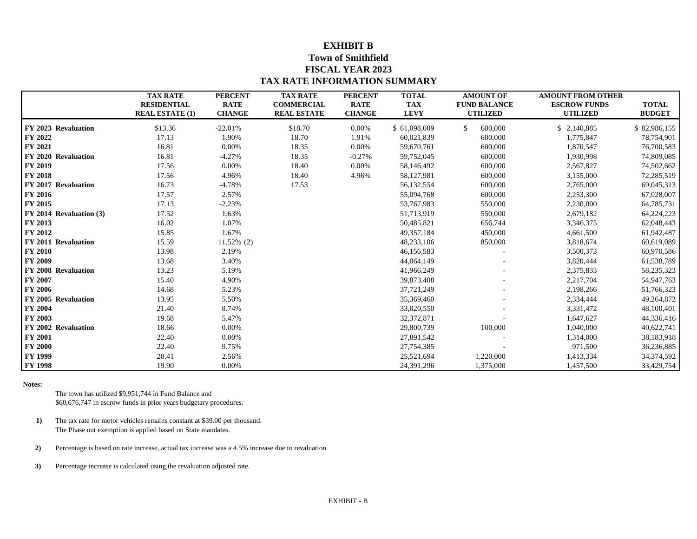#### **EXHIBIT B**

#### **Town of Smithfield FISCAL YEAR 2023 TAX RATE INFORMATION SUMMARY**

|                         | <b>TAX RATE</b><br><b>RESIDENTIAL</b><br><b>REAL ESTATE (1)</b> | <b>PERCENT</b><br><b>RATE</b><br><b>CHANGE</b> | <b>TAX RATE</b><br><b>COMMERCIAL</b><br><b>REAL ESTATE</b> | <b>PERCENT</b><br><b>RATE</b><br><b>CHANGE</b> | <b>TOTAL</b><br><b>TAX</b><br><b>LEVY</b> | <b>AMOUNT OF</b><br><b>FUND BALANCE</b><br><b>UTILIZED</b> | <b>AMOUNT FROM OTHER</b><br><b>ESCROW FUNDS</b><br><b>UTILIZED</b> | <b>TOTAL</b><br><b>BUDGET</b> |
|-------------------------|-----------------------------------------------------------------|------------------------------------------------|------------------------------------------------------------|------------------------------------------------|-------------------------------------------|------------------------------------------------------------|--------------------------------------------------------------------|-------------------------------|
| FY 2023 Revaluation     | \$13.36                                                         | $-22.01%$                                      | \$18.70                                                    | 0.00%                                          | \$61,098,009                              | $\mathbb{S}$<br>600,000                                    | \$2,140,885                                                        | \$82,986,155                  |
| FY 2022                 | 17.13                                                           | 1.90%                                          | 18.70                                                      | 1.91%                                          | 60,021,839                                | 600,000                                                    | 1,775,847                                                          | 78,754,901                    |
| FY 2021                 | 16.81                                                           | 0.00%                                          | 18.35                                                      | 0.00%                                          | 59,670,761                                | 600,000                                                    | 1,870,547                                                          | 76,700,583                    |
| FY 2020 Revaluation     | 16.81                                                           | $-4.27%$                                       | 18.35                                                      | $-0.27%$                                       | 59,752,045                                | 600,000                                                    | 1,930,998                                                          | 74,809,085                    |
| FY 2019                 | 17.56                                                           | 0.00%                                          | 18.40                                                      | 0.00%                                          | 58,146,492                                | 600,000                                                    | 2,567,827                                                          | 74,502,662                    |
| <b>FY 2018</b>          | 17.56                                                           | 4.96%                                          | 18.40                                                      | 4.96%                                          | 58,127,981                                | 600,000                                                    | 3,155,000                                                          | 72,285,519                    |
| FY 2017 Revaluation     | 16.73                                                           | $-4.78%$                                       | 17.53                                                      |                                                | 56,132,554                                | 600,000                                                    | 2,765,000                                                          | 69,045,313                    |
| <b>FY 2016</b>          | 17.57                                                           | 2.57%                                          |                                                            |                                                | 55,094,768                                | 600,000                                                    | 2,253,300                                                          | 67,028,007                    |
| FY 2015                 | 17.13                                                           | $-2.23%$                                       |                                                            |                                                | 53,767,983                                | 550,000                                                    | 2,230,000                                                          | 64,785,731                    |
| FY 2014 Revaluation (3) | 17.52                                                           | 1.63%                                          |                                                            |                                                | 51,713,919                                | 550,000                                                    | 2,679,182                                                          | 64,224,223                    |
| FY 2013                 | 16.02                                                           | 1.07%                                          |                                                            |                                                | 50,485,821                                | 656,744                                                    | 3,346,375                                                          | 62,048,443                    |
| FY 2012                 | 15.85                                                           | 1.67%                                          |                                                            |                                                | 49, 357, 184                              | 450,000                                                    | 4,661,500                                                          | 61,942,487                    |
| FY 2011 Revaluation     | 15.59                                                           | 11.52% (2)                                     |                                                            |                                                | 48,233,106                                | 850,000                                                    | 3,818,674                                                          | 60,619,089                    |
| <b>FY 2010</b>          | 13.98                                                           | 2.19%                                          |                                                            |                                                | 46,156,583                                |                                                            | 3,500,373                                                          | 60,970,586                    |
| FY 2009                 | 13.68                                                           | 3.40%                                          |                                                            |                                                | 44,064,149                                |                                                            | 3,820,444                                                          | 61,538,789                    |
| FY 2008 Revaluation     | 13.23                                                           | 5.19%                                          |                                                            |                                                | 41,966,249                                |                                                            | 2,375,833                                                          | 58,235,323                    |
| FY 2007                 | 15.40                                                           | 4.90%                                          |                                                            |                                                | 39,873,408                                |                                                            | 2,217,704                                                          | 54,947,763                    |
| FY 2006                 | 14.68                                                           | 5.23%                                          |                                                            |                                                | 37,721,249                                |                                                            | 2,198,266                                                          | 51,766,323                    |
| FY 2005 Revaluation     | 13.95                                                           | 5.50%                                          |                                                            |                                                | 35,369,460                                |                                                            | 2,334,444                                                          | 49,264,872                    |
| FY 2004                 | 21.40                                                           | 8.74%                                          |                                                            |                                                | 33,020,550                                |                                                            | 3,331,472                                                          | 48,100,401                    |
| FY 2003                 | 19.68                                                           | 5.47%                                          |                                                            |                                                | 32, 372, 871                              |                                                            | 1,647,627                                                          | 44,336,416                    |
| FY 2002 Revaluation     | 18.66                                                           | 0.00%                                          |                                                            |                                                | 29,800,739                                | 100,000                                                    | 1,040,000                                                          | 40,622,741                    |
| <b>FY 2001</b>          | 22.40                                                           | 0.00%                                          |                                                            |                                                | 27,891,542                                |                                                            | 1,314,000                                                          | 38,183,918                    |
| <b>FY 2000</b>          | 22.40                                                           | 9.75%                                          |                                                            |                                                | 27,754,385                                |                                                            | 971,500                                                            | 36,236,885                    |
| <b>FY 1999</b>          | 20.41                                                           | 2.56%                                          |                                                            |                                                | 25,521,694                                | 1,220,000                                                  | 1,413,334                                                          | 34,374,592                    |
| <b>FY 1998</b>          | 19.90                                                           | 0.00%                                          |                                                            |                                                | 24,391,296                                | 1,375,000                                                  | 1,457,500                                                          | 33,429,754                    |

**Notes:**

The town has utilized \$9,951,744 in Fund Balance and \$60,676,747 in escrow funds in prior years budgetary procedures.

- **1)** The tax rate for motor vehicles remains constant at \$39.00 per thousand. The Phase out exemption is applied based on State mandates.
- **2)** Percentage is based on rate increase, actual tax increase was a 4.5% increase due to revaluation

**3)** Percentage increase is calculated using the revaluation adjusted rate.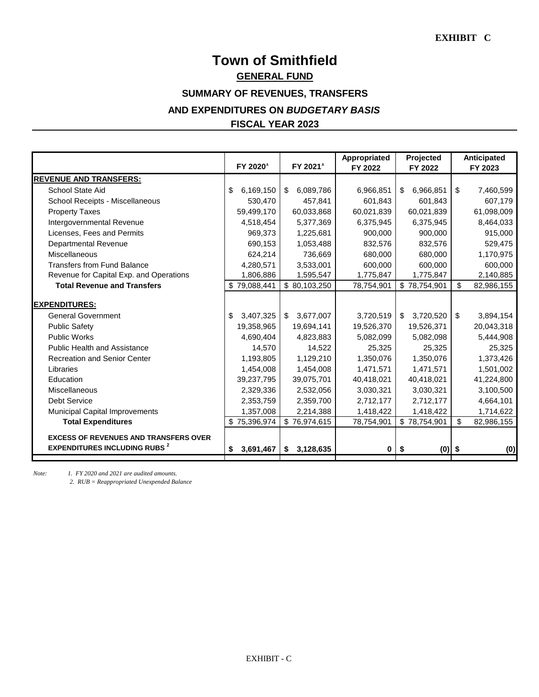# **Town of Smithfield FISCAL YEAR 2023 AND EXPENDITURES ON** *BUDGETARY BASIS* **SUMMARY OF REVENUES, TRANSFERS GENERAL FUND**

|                                                                                      | FY 2020         | FY 2021         | Appropriated<br>FY 2022 | Projected<br>FY 2022 | Anticipated<br>FY 2023 |
|--------------------------------------------------------------------------------------|-----------------|-----------------|-------------------------|----------------------|------------------------|
| <b>REVENUE AND TRANSFERS:</b>                                                        |                 |                 |                         |                      |                        |
| School State Aid                                                                     | 6,169,150<br>S  | 6,089,786<br>\$ | 6,966,851               | 6,966,851<br>\$      | \$<br>7,460,599        |
| <b>School Receipts - Miscellaneous</b>                                               | 530,470         | 457,841         | 601,843                 | 601,843              | 607,179                |
| <b>Property Taxes</b>                                                                | 59,499,170      | 60,033,868      | 60,021,839              | 60,021,839           | 61,098,009             |
| Intergovernmental Revenue                                                            | 4,518,454       | 5,377,369       | 6,375,945               | 6,375,945            | 8,464,033              |
| Licenses, Fees and Permits                                                           | 969,373         | 1,225,681       | 900,000                 | 900,000              | 915,000                |
| <b>Departmental Revenue</b>                                                          | 690,153         | 1,053,488       | 832,576                 | 832,576              | 529,475                |
| Miscellaneous                                                                        | 624,214         | 736,669         | 680,000                 | 680,000              | 1,170,975              |
| <b>Transfers from Fund Balance</b>                                                   | 4,280,571       | 3,533,001       | 600,000                 | 600,000              | 600,000                |
| Revenue for Capital Exp. and Operations                                              | 1,806,886       | 1,595,547       | 1,775,847               | 1,775,847            | 2,140,885              |
| <b>Total Revenue and Transfers</b>                                                   | \$79,088,441    | \$80,103,250    | 78,754,901              | \$78,754,901         | \$<br>82,986,155       |
| <b>EXPENDITURES:</b>                                                                 |                 |                 |                         |                      |                        |
| <b>General Government</b>                                                            | 3,407,325<br>\$ | 3,677,007<br>\$ | 3,720,519               | 3,720,520<br>\$      | \$<br>3,894,154        |
| <b>Public Safety</b>                                                                 | 19,358,965      | 19,694,141      | 19,526,370              | 19,526,371           | 20,043,318             |
| <b>Public Works</b>                                                                  | 4,690,404       | 4,823,883       | 5,082,099               | 5,082,098            | 5,444,908              |
| <b>Public Health and Assistance</b>                                                  | 14,570          | 14,522          | 25,325                  | 25,325               | 25,325                 |
| <b>Recreation and Senior Center</b>                                                  | 1,193,805       | 1,129,210       | 1,350,076               | 1,350,076            | 1,373,426              |
| Libraries                                                                            | 1,454,008       | 1,454,008       | 1,471,571               | 1,471,571            | 1,501,002              |
| Education                                                                            | 39,237,795      | 39,075,701      | 40,418,021              | 40,418,021           | 41,224,800             |
| <b>Miscellaneous</b>                                                                 | 2,329,336       | 2,532,056       | 3,030,321               | 3,030,321            | 3,100,500              |
| <b>Debt Service</b>                                                                  | 2,353,759       | 2,359,700       | 2,712,177               | 2,712,177            | 4,664,101              |
| <b>Municipal Capital Improvements</b>                                                | 1,357,008       | 2,214,388       | 1,418,422               | 1,418,422            | 1,714,622              |
| <b>Total Expenditures</b>                                                            | \$75,396,974    | \$76,974,615    | 78,754,901              | \$78,754,901         | \$<br>82,986,155       |
| <b>EXCESS OF REVENUES AND TRANSFERS OVER</b><br><b>EXPENDITURES INCLUDING RUBS 2</b> | 3,691,467<br>\$ | 3,128,635<br>\$ | 0                       | $(0)$ \$<br>\$       | (0)                    |

*Note: 1. FY 2020 and 2021 are audited amounts.*

*2. RUB = Reappropriated Unexpended Balance*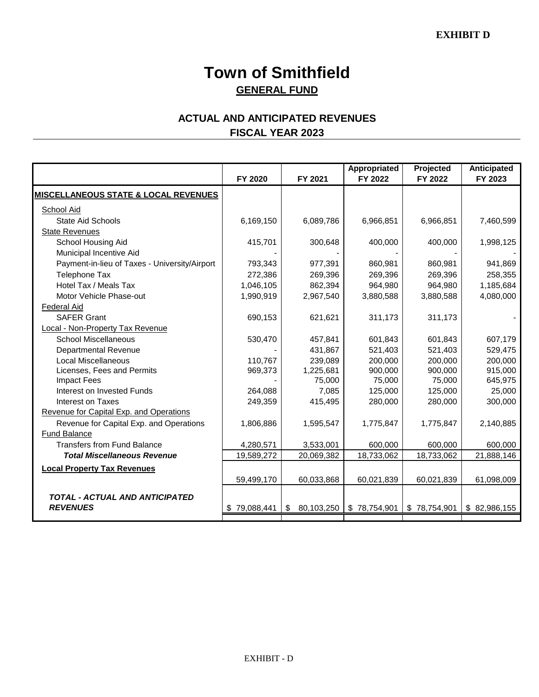# **Town of Smithfield GENERAL FUND**

### **ACTUAL AND ANTICIPATED REVENUES FISCAL YEAR 2023**

|                                                 | FY 2020      | FY 2021             | Appropriated<br>FY 2022 | Projected<br>FY 2022 | Anticipated<br>FY 2023 |
|-------------------------------------------------|--------------|---------------------|-------------------------|----------------------|------------------------|
| <b>MISCELLANEOUS STATE &amp; LOCAL REVENUES</b> |              |                     |                         |                      |                        |
|                                                 |              |                     |                         |                      |                        |
| School Aid                                      |              |                     |                         |                      |                        |
| <b>State Aid Schools</b>                        | 6,169,150    | 6,089,786           | 6,966,851               | 6,966,851            | 7,460,599              |
| <b>State Revenues</b>                           |              |                     |                         |                      |                        |
| School Housing Aid                              | 415,701      | 300,648             | 400,000                 | 400,000              | 1,998,125              |
| Municipal Incentive Aid                         |              |                     |                         |                      |                        |
| Payment-in-lieu of Taxes - University/Airport   | 793,343      | 977,391             | 860,981                 | 860,981              | 941,869                |
| <b>Telephone Tax</b>                            | 272,386      | 269,396             | 269,396                 | 269,396              | 258,355                |
| Hotel Tax / Meals Tax                           | 1,046,105    | 862,394             | 964,980                 | 964,980              | 1,185,684              |
| Motor Vehicle Phase-out                         | 1,990,919    | 2,967,540           | 3,880,588               | 3,880,588            | 4,080,000              |
| <b>Federal Aid</b>                              |              |                     |                         |                      |                        |
| <b>SAFER Grant</b>                              | 690,153      | 621,621             | 311,173                 | 311,173              |                        |
| Local - Non-Property Tax Revenue                |              |                     |                         |                      |                        |
| <b>School Miscellaneous</b>                     | 530,470      | 457,841             | 601,843                 | 601,843              | 607,179                |
| <b>Departmental Revenue</b>                     |              | 431,867             | 521,403                 | 521,403              | 529,475                |
| Local Miscellaneous                             | 110,767      | 239,089             | 200,000                 | 200,000              | 200,000                |
| Licenses, Fees and Permits                      | 969,373      | 1,225,681           | 900,000                 | 900,000              | 915,000                |
| <b>Impact Fees</b>                              |              | 75,000              | 75,000                  | 75,000               | 645,975                |
| Interest on Invested Funds                      | 264,088      | 7,085               | 125,000                 | 125,000              | 25,000                 |
| Interest on Taxes                               | 249,359      | 415,495             | 280,000                 | 280,000              | 300,000                |
| Revenue for Capital Exp. and Operations         |              |                     |                         |                      |                        |
| Revenue for Capital Exp. and Operations         | 1,806,886    | 1,595,547           | 1,775,847               | 1,775,847            | 2,140,885              |
| Fund Balance                                    |              |                     |                         |                      |                        |
| <b>Transfers from Fund Balance</b>              | 4,280,571    | 3,533,001           | 600,000                 | 600,000              | 600,000                |
| <b>Total Miscellaneous Revenue</b>              | 19,589,272   | 20,069,382          | 18,733,062              | 18,733,062           | 21,888,146             |
| <b>Local Property Tax Revenues</b>              |              |                     |                         |                      |                        |
|                                                 | 59,499,170   | 60,033,868          | 60,021,839              | 60,021,839           | 61,098,009             |
|                                                 |              |                     |                         |                      |                        |
| <b>TOTAL - ACTUAL AND ANTICIPATED</b>           |              |                     |                         |                      |                        |
| <b>REVENUES</b>                                 | \$79,088,441 | $\$\$<br>80,103,250 | \$78,754,901            | \$78,754,901         | \$82,986,155           |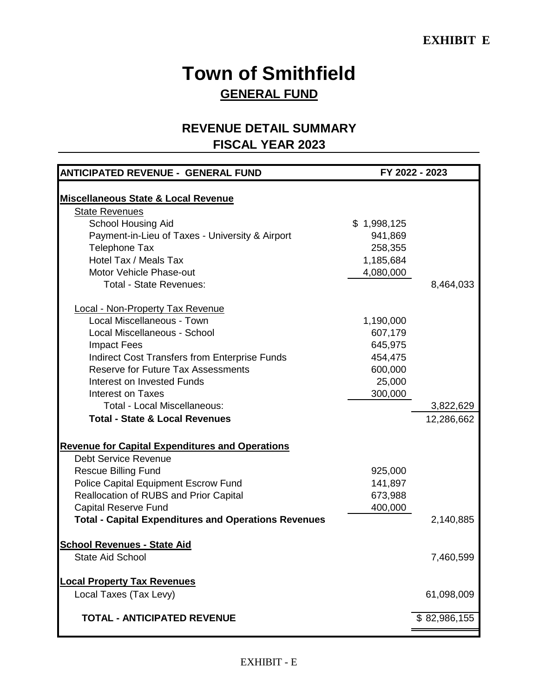# **Town of Smithfield GENERAL FUND**

### **REVENUE DETAIL SUMMARY FISCAL YEAR 2023**

| <b>ANTICIPATED REVENUE - GENERAL FUND</b>                   |             | FY 2022 - 2023 |
|-------------------------------------------------------------|-------------|----------------|
|                                                             |             |                |
| <b>Miscellaneous State &amp; Local Revenue</b>              |             |                |
| <b>State Revenues</b>                                       |             |                |
| <b>School Housing Aid</b>                                   | \$1,998,125 |                |
| Payment-in-Lieu of Taxes - University & Airport             | 941,869     |                |
| <b>Telephone Tax</b>                                        | 258,355     |                |
| Hotel Tax / Meals Tax                                       | 1,185,684   |                |
| Motor Vehicle Phase-out                                     | 4,080,000   |                |
| <b>Total - State Revenues:</b>                              |             | 8,464,033      |
| <b>Local - Non-Property Tax Revenue</b>                     |             |                |
| Local Miscellaneous - Town                                  | 1,190,000   |                |
| Local Miscellaneous - School                                | 607,179     |                |
| <b>Impact Fees</b>                                          | 645,975     |                |
| <b>Indirect Cost Transfers from Enterprise Funds</b>        | 454,475     |                |
| <b>Reserve for Future Tax Assessments</b>                   | 600,000     |                |
| Interest on Invested Funds                                  | 25,000      |                |
| Interest on Taxes                                           | 300,000     |                |
| <b>Total - Local Miscellaneous:</b>                         |             | 3,822,629      |
| <b>Total - State &amp; Local Revenues</b>                   |             | 12,286,662     |
| <b>Revenue for Capital Expenditures and Operations</b>      |             |                |
| <b>Debt Service Revenue</b>                                 |             |                |
| <b>Rescue Billing Fund</b>                                  | 925,000     |                |
| Police Capital Equipment Escrow Fund                        | 141,897     |                |
| Reallocation of RUBS and Prior Capital                      | 673,988     |                |
| <b>Capital Reserve Fund</b>                                 | 400,000     |                |
| <b>Total - Capital Expenditures and Operations Revenues</b> |             | 2,140,885      |
| <b>School Revenues - State Aid</b>                          |             |                |
| <b>State Aid School</b>                                     |             | 7,460,599      |
| <b>Local Property Tax Revenues</b>                          |             |                |
| Local Taxes (Tax Levy)                                      |             | 61,098,009     |
| <b>TOTAL - ANTICIPATED REVENUE</b>                          |             | \$82,986,155   |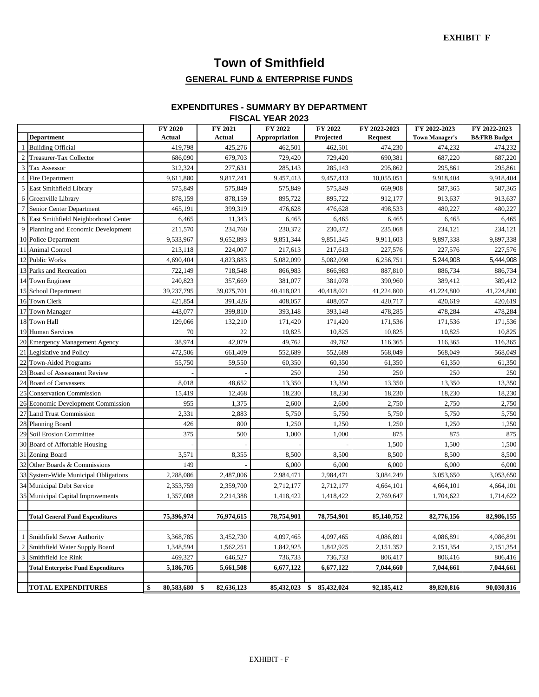# **Town of Smithfield**

### **GENERAL FUND & ENTERPRISE FUNDS**

#### **FISCAL YEAR 2023 EXPENDITURES - SUMMARY BY DEPARTMENT**

|                |                                           | FY 2020          | FY 2021           | FY 2022       | FY 2022          | FY 2022-2023   | FY 2022-2023          | FY 2022-2023            |
|----------------|-------------------------------------------|------------------|-------------------|---------------|------------------|----------------|-----------------------|-------------------------|
|                | <b>Department</b>                         | Actual           | Actual            | Appropriation | Projected        | <b>Request</b> | <b>Town Manager's</b> | <b>B&amp;FRB</b> Budget |
|                | <b>Building Official</b>                  | 419,798          | 425,276           | 462,501       | 462,501          | 474,230        | 474,232               | 474,232                 |
| 2              | Treasurer-Tax Collector                   | 686,090          | 679,703           | 729,420       | 729,420          | 690,381        | 687,220               | 687,220                 |
| 3              | <b>Tax Assessor</b>                       | 312,324          | 277,631           | 285,143       | 285,143          | 295,862        | 295,861               | 295,861                 |
|                | Fire Department                           | 9,611,880        | 9,817,241         | 9,457,413     | 9,457,413        | 10,055,051     | 9,918,404             | 9,918,404               |
| 5              | East Smithfield Library                   | 575,849          | 575,849           | 575,849       | 575,849          | 669,908        | 587,365               | 587,365                 |
| 6              | Greenville Library                        | 878,159          | 878,159           | 895,722       | 895,722          | 912,177        | 913,637               | 913,637                 |
|                | Senior Center Department                  | 465,191          | 399,319           | 476,628       | 476,628          | 498,533        | 480,227               | 480,227                 |
| 8              | East Smithfield Neighborhood Center       | 6,465            | 11,343            | 6,465         | 6,465            | 6,465          | 6,465                 | 6,465                   |
| 9              | Planning and Economic Development         | 211,570          | 234,760           | 230,372       | 230,372          | 235,068        | 234,121               | 234,121                 |
|                | 10 Police Department                      | 9,533,967        | 9,652,893         | 9,851,344     | 9,851,345        | 9,911,603      | 9,897,338             | 9,897,338               |
| 11             | Animal Control                            | 213,118          | 224,007           | 217,613       | 217,613          | 227,576        | 227,576               | 227,576                 |
|                | 12 Public Works                           | 4,690,404        | 4,823,883         | 5,082,099     | 5,082,098        | 6,256,751      | 5,244,908             | 5,444,908               |
|                | 13 Parks and Recreation                   | 722,149          | 718,548           | 866,983       | 866,983          | 887,810        | 886,734               | 886,734                 |
|                | 14 Town Engineer                          | 240,823          | 357,669           | 381,077       | 381,078          | 390,960        | 389,412               | 389,412                 |
|                | 15 School Department                      | 39,237,795       | 39,075,701        | 40,418,021    | 40,418,021       | 41,224,800     | 41,224,800            | 41,224,800              |
|                | 16 Town Clerk                             | 421,854          | 391,426           | 408,057       | 408,057          | 420,717        | 420,619               | 420,619                 |
| 17             | <b>Town Manager</b>                       | 443,077          | 399,810           | 393,148       | 393,148          | 478,285        | 478,284               | 478,284                 |
| 18             | <b>Town Hall</b>                          | 129,066          | 132,210           | 171,420       | 171,420          | 171,536        | 171,536               | 171,536                 |
|                | 19 Human Services                         | 70               | 22                | 10,825        | 10,825           | 10,825         | 10,825                | 10,825                  |
|                | 20 Emergency Management Agency            | 38,974           | 42,079            | 49,762        | 49,762           | 116,365        | 116,365               | 116,365                 |
|                | 21 Legislative and Policy                 | 472,506          | 661,409           | 552,689       | 552,689          | 568,049        | 568,049               | 568,049                 |
| 22             | <b>Town-Aided Programs</b>                | 55,750           | 59,550            | 60,350        | 60,350           | 61,350         | 61,350                | 61,350                  |
|                | 23 Board of Assessment Review             |                  |                   | 250           | 250              | 250            | 250                   | 250                     |
| 24             | <b>Board of Canvassers</b>                | 8,018            | 48,652            | 13,350        | 13,350           | 13,350         | 13,350                | 13,350                  |
| 25             | <b>Conservation Commission</b>            | 15,419           | 12,468            | 18,230        | 18,230           | 18,230         | 18,230                | 18,230                  |
|                | 26 Economic Development Commission        | 955              | 1,375             | 2,600         | 2,600            | 2,750          | 2,750                 | 2,750                   |
| 27             | <b>Land Trust Commission</b>              | 2,331            | 2,883             | 5,750         | 5,750            | 5,750          | 5,750                 | 5,750                   |
|                | 28 Planning Board                         | 426              | 800               | 1,250         | 1,250            | 1,250          | 1,250                 | 1,250                   |
|                | 29 Soil Erosion Committee                 | 375              | 500               | 1,000         | 1,000            | 875            | 875                   | 875                     |
|                | 30 Board of Affortable Housing            |                  |                   |               |                  | 1,500          | 1,500                 | 1,500                   |
|                | 31 Zoning Board                           | 3,571            | 8,355             | 8,500         | 8,500            | 8,500          | 8,500                 | 8,500                   |
|                | 32 Other Boards & Commissions             | 149              |                   | 6,000         | 6,000            | 6,000          | 6,000                 | 6,000                   |
|                | 33 System-Wide Municipal Obligations      | 2,288,086        | 2,487,006         | 2,984,471     | 2,984,471        | 3,084,249      | 3,053,650             | 3,053,650               |
|                | 34 Municipal Debt Service                 | 2,353,759        | 2,359,700         | 2,712,177     | 2,712,177        | 4,664,101      | 4,664,101             | 4,664,101               |
|                | 35 Municipal Capital Improvements         | 1,357,008        | 2,214,388         | 1,418,422     | 1,418,422        | 2,769,647      | 1,704,622             | 1,714,622               |
|                |                                           |                  |                   |               |                  |                |                       |                         |
|                | <b>Total General Fund Expenditures</b>    | 75,396,974       | 76,974,615        | 78,754,901    | 78,754,901       | 85,140,752     | 82,776,156            | 82,986,155              |
|                |                                           |                  |                   |               |                  |                |                       |                         |
|                | Smithfield Sewer Authority                | 3,368,785        | 3,452,730         | 4,097,465     | 4,097,465        | 4,086,891      | 4,086,891             | 4,086,891               |
| $\overline{2}$ | Smithfield Water Supply Board             | 1,348,594        | 1,562,251         | 1,842,925     | 1,842,925        | 2,151,352      | 2,151,354             | 2,151,354               |
| 3              | Smithfield Ice Rink                       | 469,327          | 646,527           | 736,733       | 736,733          | 806,417        | 806,416               | 806,416                 |
|                | <b>Total Enterprise Fund Expenditures</b> | 5,186,705        | 5,661,508         | 6,677,122     | 6,677,122        | 7,044,660      | 7,044,661             | 7,044,661               |
|                |                                           |                  |                   |               |                  |                |                       |                         |
|                | <b>TOTAL EXPENDITURES</b>                 | \$<br>80,583,680 | -\$<br>82,636,123 | 85,432,023    | \$<br>85,432,024 | 92,185,412     | 89,820,816            | 90,030,816              |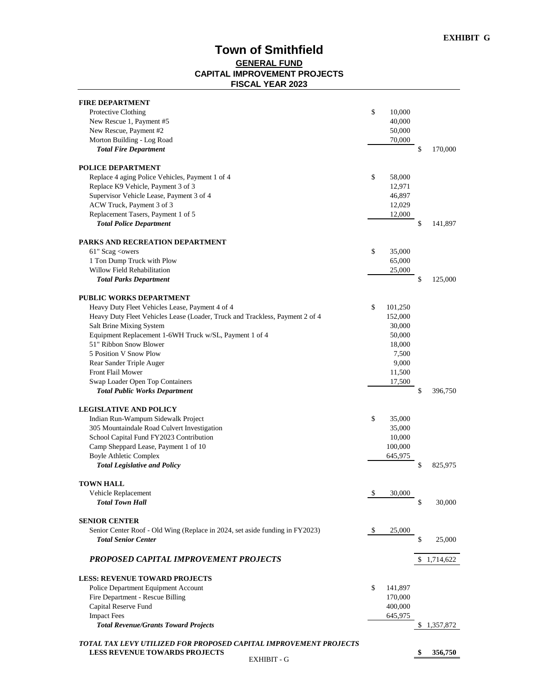#### **Town of Smithfield GENERAL FUND CAPITAL IMPROVEMENT PROJECTS FISCAL YEAR 2023**

| <b>FIRE DEPARTMENT</b>                                                                |    |                  |               |
|---------------------------------------------------------------------------------------|----|------------------|---------------|
| Protective Clothing                                                                   | \$ | 10,000           |               |
| New Rescue 1, Payment #5                                                              |    | 40,000           |               |
| New Rescue, Payment #2                                                                |    | 50,000           |               |
| Morton Building - Log Road                                                            |    | 70,000           |               |
| <b>Total Fire Department</b>                                                          |    |                  | \$<br>170,000 |
|                                                                                       |    |                  |               |
| <b>POLICE DEPARTMENT</b>                                                              | \$ |                  |               |
| Replace 4 aging Police Vehicles, Payment 1 of 4<br>Replace K9 Vehicle, Payment 3 of 3 |    | 58,000<br>12,971 |               |
| Supervisor Vehicle Lease, Payment 3 of 4                                              |    | 46,897           |               |
| ACW Truck, Payment 3 of 3                                                             |    | 12,029           |               |
| Replacement Tasers, Payment 1 of 5                                                    |    | 12,000           |               |
| <b>Total Police Department</b>                                                        |    |                  | \$<br>141,897 |
|                                                                                       |    |                  |               |
| PARKS AND RECREATION DEPARTMENT                                                       |    |                  |               |
| 61" Scag <owers< td=""><td>\$</td><td>35,000</td><td></td></owers<>                   | \$ | 35,000           |               |
| 1 Ton Dump Truck with Plow                                                            |    | 65,000           |               |
| Willow Field Rehabilitation                                                           |    | 25,000           |               |
| <b>Total Parks Department</b>                                                         |    |                  | \$<br>125,000 |
| <b>PUBLIC WORKS DEPARTMENT</b>                                                        |    |                  |               |
| Heavy Duty Fleet Vehicles Lease, Payment 4 of 4                                       | \$ | 101,250          |               |
| Heavy Duty Fleet Vehicles Lease (Loader, Truck and Trackless, Payment 2 of 4          |    | 152,000          |               |
| Salt Brine Mixing System                                                              |    | 30,000           |               |
| Equipment Replacement 1-6WH Truck w/SL, Payment 1 of 4                                |    | 50,000           |               |
| 51" Ribbon Snow Blower                                                                |    | 18,000           |               |
| 5 Position V Snow Plow                                                                |    | 7,500            |               |
| Rear Sander Triple Auger                                                              |    | 9,000            |               |
| Front Flail Mower                                                                     |    | 11,500           |               |
| Swap Loader Open Top Containers                                                       |    | 17,500           |               |
| <b>Total Public Works Department</b>                                                  |    |                  | \$<br>396,750 |
| <b>LEGISLATIVE AND POLICY</b>                                                         |    |                  |               |
| Indian Run-Wampum Sidewalk Project                                                    | \$ | 35,000           |               |
| 305 Mountaindale Road Culvert Investigation                                           |    | 35,000           |               |
| School Capital Fund FY2023 Contribution                                               |    | 10,000           |               |
| Camp Sheppard Lease, Payment 1 of 10                                                  |    | 100,000          |               |
| <b>Boyle Athletic Complex</b>                                                         |    | 645,975          |               |
| <b>Total Legislative and Policy</b>                                                   |    |                  | \$<br>825,975 |
|                                                                                       |    |                  |               |
| <b>TOWN HALL</b>                                                                      |    |                  |               |
| Vehicle Replacement                                                                   | \$ | 30,000           |               |
| <b>Total Town Hall</b>                                                                |    |                  | \$<br>30,000  |
| <b>SENIOR CENTER</b>                                                                  |    |                  |               |
| Senior Center Roof - Old Wing (Replace in 2024, set aside funding in FY2023)          | -S | 25,000           |               |
| <b>Total Senior Center</b>                                                            |    |                  | \$<br>25,000  |
| PROPOSED CAPITAL IMPROVEMENT PROJECTS                                                 |    |                  | \$1,714,622   |
|                                                                                       |    |                  |               |
| <b>LESS: REVENUE TOWARD PROJECTS</b>                                                  |    |                  |               |
| Police Department Equipment Account                                                   | \$ | 141,897          |               |
| Fire Department - Rescue Billing                                                      |    | 170,000          |               |
| Capital Reserve Fund                                                                  |    | 400,000          |               |
| <b>Impact Fees</b>                                                                    |    | 645,975          |               |
| <b>Total Revenue/Grants Toward Projects</b>                                           |    |                  | 1,357,872     |
| TOTAL TAX LEVY UTILIZED FOR PROPOSED CAPITAL IMPROVEMENT PROJECTS                     |    |                  |               |
| <b>LESS REVENUE TOWARDS PROJECTS</b>                                                  |    |                  | 356,750       |
| <b>EXHIBIT - G</b>                                                                    |    |                  |               |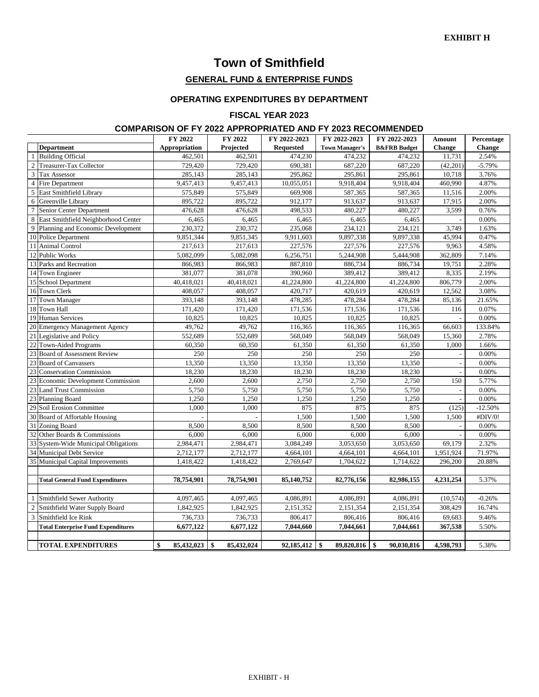### **Town of Smithfield**

#### **GENERAL FUND & ENTERPRISE FUNDS**

#### **OPERATING EXPENDITURES BY DEPARTMENT**

#### **FISCAL YEAR 2023**

#### **COMPARISON OF FY 2022 APPROPRIATED AND FY 2023 RECOMMENDED**

|                 |                                           | FY 2022          | FY 2022          | FY 2022-2023     | FY 2022-2023          | FY 2022-2023            | Amount        | Percentage    |
|-----------------|-------------------------------------------|------------------|------------------|------------------|-----------------------|-------------------------|---------------|---------------|
|                 | <b>Department</b>                         | Appropriation    | Projected        | <b>Requested</b> | <b>Town Manager's</b> | <b>B&amp;FRB</b> Budget | <b>Change</b> | <b>Change</b> |
|                 | <b>Building Official</b>                  | 462,501          | 462,501          | 474,230          | 474,232               | 474,232                 | 11,731        | 2.54%         |
| $\overline{2}$  | <b>Treasurer-Tax Collector</b>            | 729,420          | 729,420          | 690,381          | 687,220               | 687,220                 | (42,201)      | $-5.79%$      |
| 3               | <b>Tax Assessor</b>                       | 285,143          | 285,143          | 295,862          | 295,861               | 295,861                 | 10,718        | 3.76%         |
| $\overline{4}$  | Fire Department                           | 9,457,413        | 9,457,413        | 10,055,051       | 9,918,404             | 9,918,404               | 460,990       | 4.87%         |
| 5               | East Smithfield Library                   | 575,849          | 575,849          | 669,908          | 587,365               | 587,365                 | 11,516        | 2.00%         |
| 6               | Greenville Library                        | 895,722          | 895,722          | 912,177          | 913,637               | 913,637                 | 17,915        | 2.00%         |
| $\overline{7}$  | Senior Center Department                  | 476,628          | 476,628          | 498,533          | 480,227               | 480,227                 | 3,599         | 0.76%         |
| 8               | East Smithfield Neighborhood Center       | 6,465            | 6,465            | 6,465            | 6,465                 | 6,465                   |               | 0.00%         |
| $\overline{9}$  | Planning and Economic Development         | 230.372          | 230,372          | 235,068          | 234.121               | 234.121                 | 3,749         | 1.63%         |
|                 | 10 Police Department                      | 9,851,344        | 9,851,345        | 9,911,603        | 9,897,338             | 9,897,338               | 45,994        | 0.47%         |
| 11              | <b>Animal Control</b>                     | 217,613          | 217,613          | 227,576          | 227,576               | 227,576                 | 9,963         | 4.58%         |
|                 | 12 Public Works                           | 5.082.099        | 5,082,098        | 6,256,751        | 5,244,908             | 5,444,908               | 362,809       | 7.14%         |
| 13              | Parks and Recreation                      | 866,983          | 866,983          | 887,810          | 886,734               | 886,734                 | 19,751        | 2.28%         |
|                 | 14 Town Engineer                          | 381,077          | 381,078          | 390,960          | 389,412               | 389,412                 | 8,335         | 2.19%         |
| 15              | <b>School Department</b>                  | 40,418,021       | 40,418,021       | 41,224,800       | 41,224,800            | 41,224,800              | 806,779       | 2.00%         |
|                 | 16 Town Clerk                             | 408,057          | 408,057          | 420,717          | 420,619               | 420,619                 | 12,562        | 3.08%         |
| 17              | <b>Town Manager</b>                       | 393,148          | 393,148          | 478,285          | 478,284               | 478,284                 | 85,136        | 21.65%        |
| 18              | <b>Town Hall</b>                          | 171,420          | 171,420          | 171,536          | 171,536               | 171,536                 | 116           | 0.07%         |
| 19              | <b>Human Services</b>                     | 10,825           | 10,825           | 10,825           | 10,825                | 10,825                  |               | 0.00%         |
|                 | 20 Emergency Management Agency            | 49,762           | 49,762           | 116,365          | 116,365               | 116,365                 | 66,603        | 133.84%       |
|                 | 21 Legislative and Policy                 | 552,689          | 552,689          | 568,049          | 568,049               | 568,049                 | 15,360        | 2.78%         |
| 22              | <b>Town-Aided Programs</b>                | 60,350           | 60,350           | 61,350           | 61,350                | 61,350                  | 1,000         | 1.66%         |
| 23              | <b>Board of Assessment Review</b>         | 250              | 250              | 250              | 250                   | 250                     |               | $0.00\%$      |
| 23              | <b>Board of Canvassers</b>                | 13,350           | 13,350           | 13,350           | 13,350                | 13,350                  |               | 0.00%         |
| $\overline{23}$ | <b>Conservation Commission</b>            | 18,230           | 18,230           | 18,230           | 18,230                | 18,230                  |               | 0.00%         |
| 23              | <b>Economic Development Commission</b>    | 2,600            | 2,600            | 2,750            | 2,750                 | 2,750                   | 150           | 5.77%         |
| 23              | <b>Land Trust Commission</b>              | 5,750            | 5,750            | 5,750            | 5,750                 | 5,750                   |               | 0.00%         |
| 23              | <b>Planning Board</b>                     | 1,250            | 1,250            | 1,250            | 1,250                 | 1,250                   |               | 0.00%         |
| 29              | Soil Erosion Committee                    | 1,000            | 1,000            | 875              | 875                   | 875                     | (125)         | $-12.50%$     |
|                 | 30 Board of Affortable Housing            |                  |                  | 1,500            | 1,500                 | 1,500                   | 1,500         | #DIV/0!       |
| 31              | Zoning Board                              | 8,500            | 8,500            | 8,500            | 8,500                 | 8,500                   |               | 0.00%         |
| 32              | Other Boards & Commissions                | 6,000            | 6,000            | 6,000            | 6,000                 | 6,000                   |               | 0.00%         |
| 33              | System-Wide Municipal Obligations         | 2,984,471        | 2,984,471        | 3,084,249        | 3,053,650             | 3,053,650               | 69,179        | 2.32%         |
|                 | 34 Municipal Debt Service                 | 2,712,177        | 2,712,177        | 4,664,101        | 4,664,101             | 4,664,101               | 1,951,924     | 71.97%        |
|                 | 35 Municipal Capital Improvements         | 1,418,422        | 1,418,422        | 2,769,647        | 1,704,622             | 1,714,622               | 296,200       | 20.88%        |
|                 |                                           |                  |                  |                  |                       |                         |               |               |
|                 | <b>Total General Fund Expenditures</b>    | 78,754,901       | 78,754,901       | 85,140,752       | 82,776,156            | 82,986,155              | 4,231,254     | 5.37%         |
|                 |                                           |                  |                  |                  |                       |                         |               |               |
|                 | Smithfield Sewer Authority                | 4,097,465        | 4,097,465        | 4,086,891        | 4,086,891             | 4,086,891               | (10, 574)     | $-0.26%$      |
| $\overline{c}$  | Smithfield Water Supply Board             | 1,842,925        | 1,842,925        | 2,151,352        | 2,151,354             | 2,151,354               | 308,429       | 16.74%        |
| 3               | Smithfield Ice Rink                       | 736,733          | 736,733          | 806,417          | 806,416               | 806,416                 | 69,683        | 9.46%         |
|                 | <b>Total Enterprise Fund Expenditures</b> | 6,677,122        | 6,677,122        | 7,044,660        | 7,044,661             | 7,044,661               | 367,538       | 5.50%         |
|                 |                                           |                  |                  |                  |                       |                         |               |               |
|                 | <b>TOTAL EXPENDITURES</b>                 | 85,432,023<br>\$ | 85,432,024<br>\$ | 92,185,412       | \$<br>89,820,816      | 90,030,816<br>\$        | 4,598,793     | 5.38%         |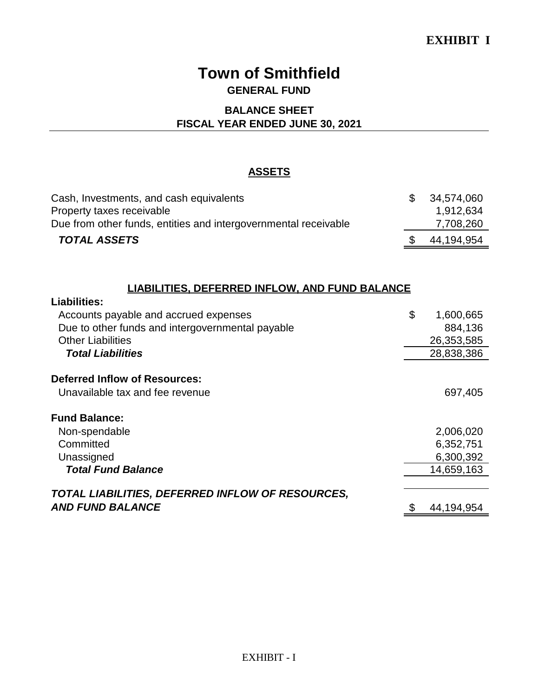## **Town of Smithfield GENERAL FUND**

#### **BALANCE SHEET**

#### **FISCAL YEAR ENDED JUNE 30, 2021**

#### **ASSETS**

| Cash, Investments, and cash equivalents                         | $\mathcal{S}$ | 34.574.060 |
|-----------------------------------------------------------------|---------------|------------|
| Property taxes receivable                                       |               | 1,912,634  |
| Due from other funds, entities and intergovernmental receivable |               | 7,708,260  |
| <b>TOTAL ASSETS</b>                                             |               | 44,194,954 |

### **LIABILITIES, DEFERRED INFLOW, AND FUND BALANCE**

**Liabilities:**

| LIUMIILIVJ.                                      |                 |
|--------------------------------------------------|-----------------|
| Accounts payable and accrued expenses            | \$<br>1,600,665 |
| Due to other funds and intergovernmental payable | 884,136         |
| <b>Other Liabilities</b>                         | 26,353,585      |
| <b>Total Liabilities</b>                         | 28,838,386      |
|                                                  |                 |
| <b>Deferred Inflow of Resources:</b>             |                 |
| Unavailable tax and fee revenue                  | 697,405         |
| <b>Fund Balance:</b>                             |                 |
| Non-spendable                                    | 2,006,020       |
| Committed                                        | 6,352,751       |
| Unassigned                                       | 6,300,392       |
| <b>Total Fund Balance</b>                        | 14,659,163      |
|                                                  |                 |
| TOTAL LIABILITIES, DEFERRED INFLOW OF RESOURCES, |                 |
| <b>AND FUND BALANCE</b>                          | 44,194,954      |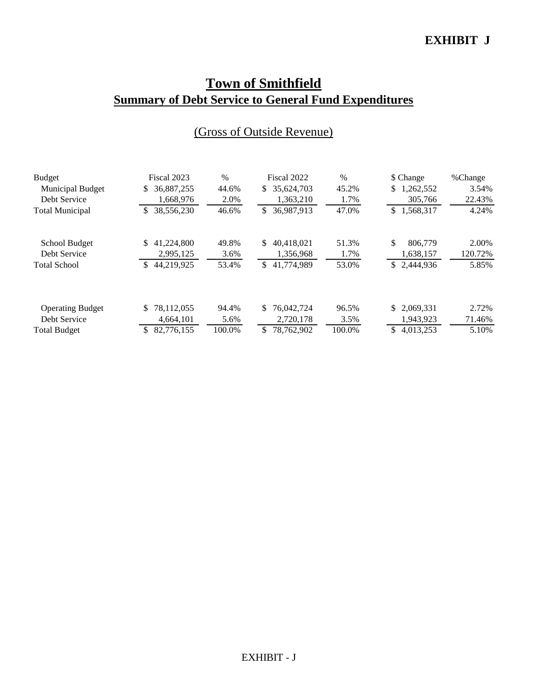### **EXHIBIT J**

# **Town of Smithfield Summary of Debt Service to General Fund Expenditures**

| <b>Budget</b>           | Fiscal 2023      | $\%$   | Fiscal 2022       | $\%$   | \$ Change       | %Change |
|-------------------------|------------------|--------|-------------------|--------|-----------------|---------|
| <b>Municipal Budget</b> | 36,887,255<br>S. | 44.6%  | 35,624,703<br>S.  | 45.2%  | 1,262,552<br>\$ | 3.54%   |
| Debt Service            | 1,668,976        | 2.0%   | 1.363.210         | 1.7%   | 305,766         | 22.43%  |
| <b>Total Municipal</b>  | 38,556,230<br>\$ | 46.6%  | 36,987,913<br>\$  | 47.0%  | \$1,568,317     | 4.24%   |
| School Budget           | 41,224,800<br>S. | 49.8%  | 40.418.021<br>S   | 51.3%  | \$<br>806,779   | 2.00%   |
| Debt Service            | 2,995,125        | 3.6%   | 1,356,968         | 1.7%   | 1,638,157       | 120.72% |
| <b>Total School</b>     | 44,219,925<br>S. | 53.4%  | 41,774,989<br>\$  | 53.0%  | \$2,444,936     | 5.85%   |
| <b>Operating Budget</b> | 78,112,055<br>S. | 94.4%  | \$.<br>76,042,724 | 96.5%  | \$2,069,331     | 2.72%   |
|                         |                  |        |                   |        |                 |         |
| Debt Service            | 4,664,101        | 5.6%   | 2,720,178         | 3.5%   | 1,943,923       | 71.46%  |
| <b>Total Budget</b>     | 82,776,155<br>S. | 100.0% | \$<br>78,762,902  | 100.0% | \$<br>4,013,253 | 5.10%   |

# (Gross of Outside Revenue)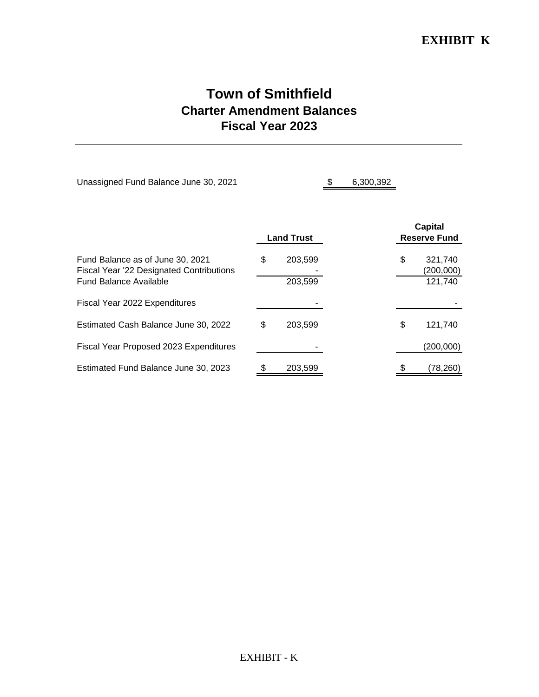### **EXHIBIT K**

# **Town of Smithfield Charter Amendment Balances Fiscal Year 2023**

| Unassigned Fund Balance June 30, 2021                                                                         |                   |                    | 6,300,392 |                                       |                                 |
|---------------------------------------------------------------------------------------------------------------|-------------------|--------------------|-----------|---------------------------------------|---------------------------------|
|                                                                                                               | <b>Land Trust</b> |                    |           | <b>Capital</b><br><b>Reserve Fund</b> |                                 |
| Fund Balance as of June 30, 2021<br>Fiscal Year '22 Designated Contributions<br><b>Fund Balance Available</b> | \$                | 203,599<br>203,599 |           | \$                                    | 321,740<br>(200,000)<br>121,740 |
| Fiscal Year 2022 Expenditures                                                                                 |                   |                    |           |                                       |                                 |
| Estimated Cash Balance June 30, 2022                                                                          | \$                | 203,599            |           | \$                                    | 121,740                         |
| Fiscal Year Proposed 2023 Expenditures                                                                        |                   |                    |           |                                       | (200,000)                       |
| Estimated Fund Balance June 30, 2023                                                                          |                   | 203,599            |           |                                       | (78,260)                        |